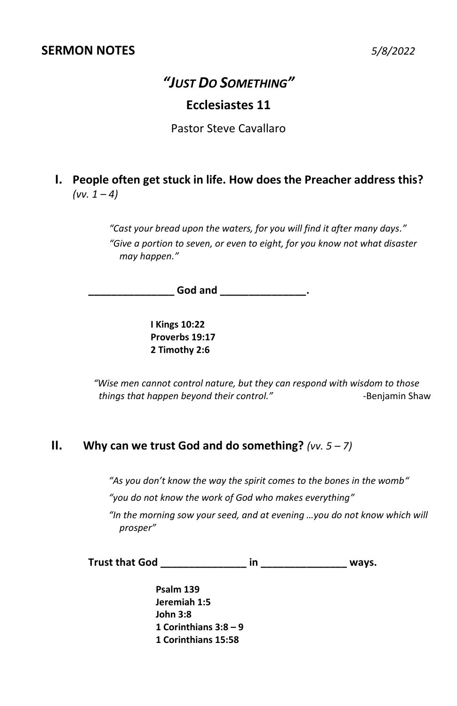# *"JUST DO SOMETHING"*

### **Ecclesiastes 11**

Pastor Steve Cavallaro

**I. People often get stuck in life. How does the Preacher address this?**  $(vv. 1 - 4)$ 

> *"Cast your bread upon the waters, for you will find it after many days." "Give a portion to seven, or even to eight, for you know not what disaster may happen."*

 $\mathsf{God}$  and  $\qquad \qquad \ldots$ 

**I Kings 10:22 Proverbs 19:17 2 Timothy 2:6** 

*"Wise men cannot control nature, but they can respond with wisdom to those things that happen beyond their control." -*Benjamin Shaw

#### **II. Why can we trust God and do something?** *(vv. 5 – 7)*

*"As you don't know the way the spirit comes to the bones in the womb"*

*"you do not know the work of God who makes everything"* 

*"In the morning sow your seed, and at evening …you do not know which will prosper"*

**Trust that God \_\_\_\_\_\_\_\_\_\_\_\_\_\_\_ in \_\_\_\_\_\_\_\_\_\_\_\_\_\_\_ ways.**

**Psalm 139 Jeremiah 1:5 John 3:8 1 Corinthians 3:8 – 9 1 Corinthians 15:58**